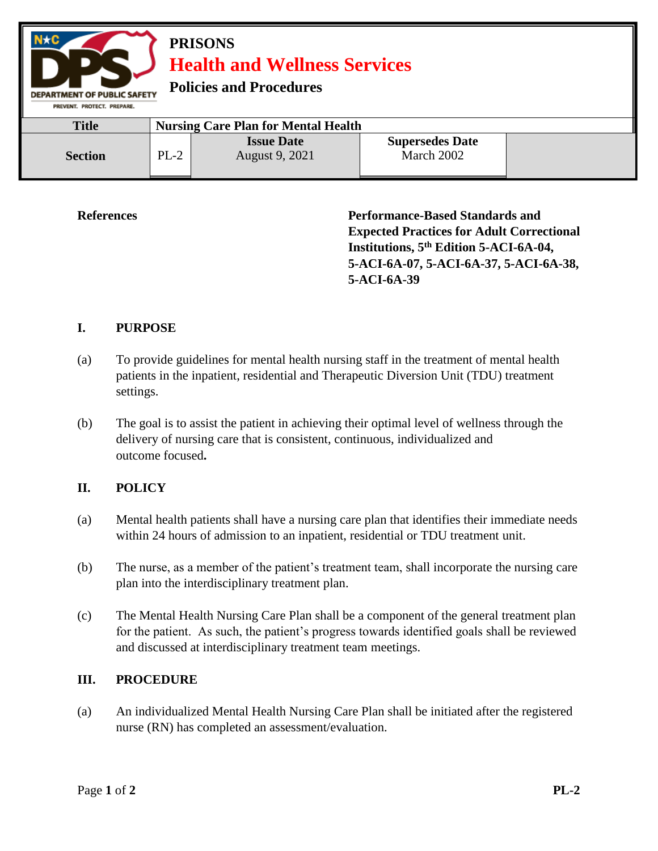

**References Performance-Based Standards and Expected Practices for Adult Correctional Institutions, 5th Edition 5-ACI-6A-04, 5-ACI-6A-07, 5-ACI-6A-37, 5-ACI-6A-38, 5-ACI-6A-39**

## **I. PURPOSE**

- (a) To provide guidelines for mental health nursing staff in the treatment of mental health patients in the inpatient, residential and Therapeutic Diversion Unit (TDU) treatment settings.
- (b) The goal is to assist the patient in achieving their optimal level of wellness through the delivery of nursing care that is consistent, continuous, individualized and outcome focused**.**

## **II. POLICY**

- (a) Mental health patients shall have a nursing care plan that identifies their immediate needs within 24 hours of admission to an inpatient, residential or TDU treatment unit.
- (b) The nurse, as a member of the patient's treatment team, shall incorporate the nursing care plan into the interdisciplinary treatment plan.
- (c) The Mental Health Nursing Care Plan shall be a component of the general treatment plan for the patient. As such, the patient's progress towards identified goals shall be reviewed and discussed at interdisciplinary treatment team meetings.

## **III. PROCEDURE**

(a) An individualized Mental Health Nursing Care Plan shall be initiated after the registered nurse (RN) has completed an assessment/evaluation.